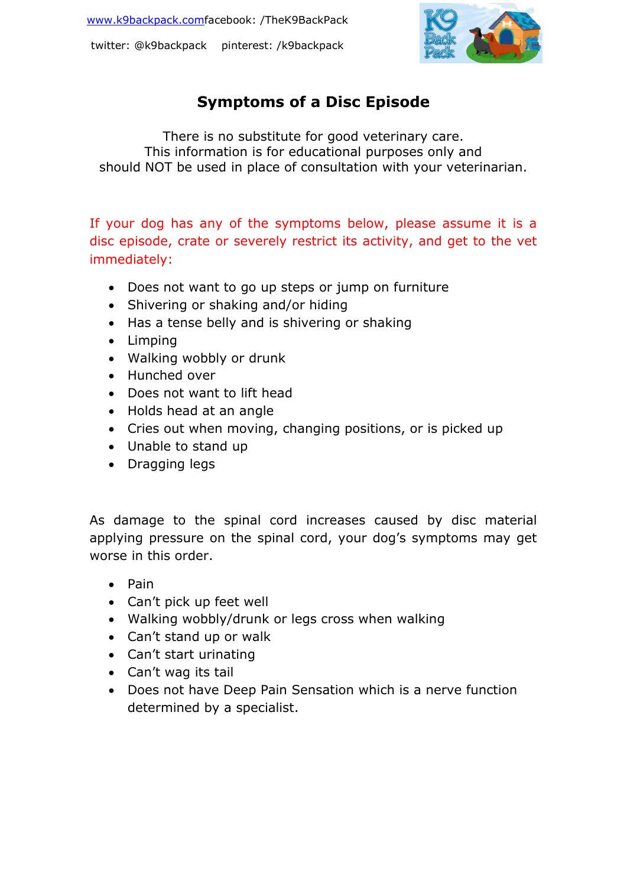twitter: @k9backpack pinterest: /k9backpack



## **Symptoms of a Disc Episode**

There is no substitute for good veterinary care. This information is for educational purposes only and should NOT be used in place of consultation with your veterinarian.

If your dog has any of the symptoms below, please assume it is a disc episode, crate or severely restrict its activity, and get to the vet immediately:

- Does not want to go up steps or jump on furniture
- Shivering or shaking and/or hiding
- Has a tense belly and is shivering or shaking
- Limping
- Walking wobbly or drunk
- Hunched over
- Does not want to lift head
- Holds head at an angle
- Cries out when moving, changing positions, or is picked up
- Unable to stand up
- Dragging legs

As damage to the spinal cord increases caused by disc material applying pressure on the spinal cord, your dog's symptoms may get worse in this order.

- Pain
- Can't pick up feet well
- Walking wobbly/drunk or legs cross when walking
- Can't stand up or walk
- Can't start urinating
- Can't wag its tail
- Does not have Deep Pain Sensation which is a nerve function determined by a specialist.